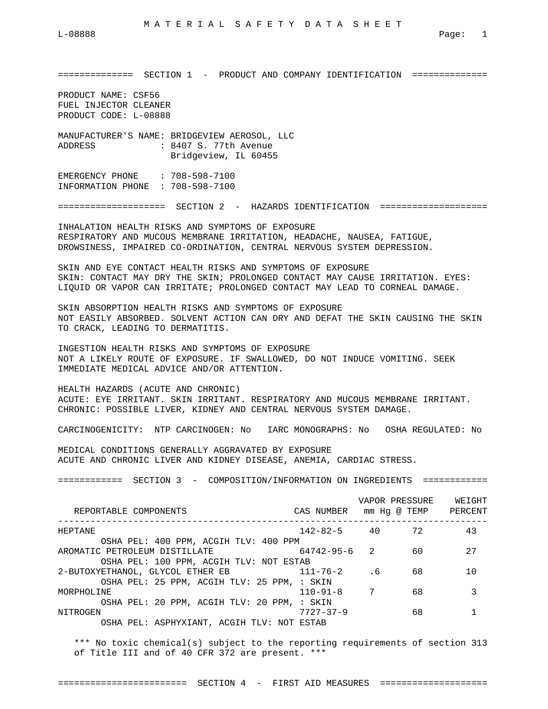============== SECTION 1 - PRODUCT AND COMPANY IDENTIFICATION ==============

PRODUCT NAME: CSF56 FUEL INJECTOR CLEANER PRODUCT CODE: L-08888

MANUFACTURER'S NAME: BRIDGEVIEW AEROSOL, LLC ADDRESS : 8407 S. 77th Avenue Bridgeview, IL 60455

EMERGENCY PHONE : 708-598-7100 INFORMATION PHONE : 708-598-7100

==================== SECTION 2 - HAZARDS IDENTIFICATION ====================

INHALATION HEALTH RISKS AND SYMPTOMS OF EXPOSURE RESPIRATORY AND MUCOUS MEMBRANE IRRITATION, HEADACHE, NAUSEA, FATIGUE, DROWSINESS, IMPAIRED CO-ORDINATION, CENTRAL NERVOUS SYSTEM DEPRESSION.

SKIN AND EYE CONTACT HEALTH RISKS AND SYMPTOMS OF EXPOSURE SKIN: CONTACT MAY DRY THE SKIN; PROLONGED CONTACT MAY CAUSE IRRITATION. EYES: LIQUID OR VAPOR CAN IRRITATE; PROLONGED CONTACT MAY LEAD TO CORNEAL DAMAGE.

SKIN ABSORPTION HEALTH RISKS AND SYMPTOMS OF EXPOSURE NOT EASILY ABSORBED. SOLVENT ACTION CAN DRY AND DEFAT THE SKIN CAUSING THE SKIN TO CRACK, LEADING TO DERMATITIS.

INGESTION HEALTH RISKS AND SYMPTOMS OF EXPOSURE NOT A LIKELY ROUTE OF EXPOSURE. IF SWALLOWED, DO NOT INDUCE VOMITING. SEEK IMMEDIATE MEDICAL ADVICE AND/OR ATTENTION.

HEALTH HAZARDS (ACUTE AND CHRONIC) ACUTE: EYE IRRITANT. SKIN IRRITANT. RESPIRATORY AND MUCOUS MEMBRANE IRRITANT. CHRONIC: POSSIBLE LIVER, KIDNEY AND CENTRAL NERVOUS SYSTEM DAMAGE.

CARCINOGENICITY: NTP CARCINOGEN: No IARC MONOGRAPHS: No OSHA REGULATED: No

MEDICAL CONDITIONS GENERALLY AGGRAVATED BY EXPOSURE ACUTE AND CHRONIC LIVER AND KIDNEY DISEASE, ANEMIA, CARDIAC STRESS.

============ SECTION 3 - COMPOSITION/INFORMATION ON INGREDIENTS ============

| REPORTABLE COMPONENTS                       | CAS NUMBER         | VAPOR PRESSURE<br>mm Hq @ TEMP |    | WEIGHT<br>PERCENT |
|---------------------------------------------|--------------------|--------------------------------|----|-------------------|
| HEPTANE                                     | $142 - 82 - 5$ 40  |                                | 72 | 43                |
| OSHA PEL: 400 PPM, ACGIH TLV: 400 PPM       |                    |                                |    |                   |
| AROMATIC PETROLEUM DISTILLATE               | $64742 - 95 - 6$ 2 |                                | 60 | 27                |
| OSHA PEL: 100 PPM, ACGIH TLV: NOT ESTAB     |                    |                                |    |                   |
| 2-BUTOXYETHANOL, GLYCOL ETHER EB            | 111-76-2           | . 6                            | 68 | $10 \,$           |
| OSHA PEL: 25 PPM, ACGIH TLV: 25 PPM, : SKIN |                    |                                |    |                   |
| MORPHOLINE                                  | $110 - 91 - 8$     | 7                              | 68 |                   |
| OSHA PEL: 20 PPM, ACGIH TLV: 20 PPM, : SKIN |                    |                                |    |                   |
| NITROGEN                                    | $7727 - 37 - 9$    |                                | 68 |                   |
| OSHA PEL: ASPHYXIANT, ACGIH TLV: NOT ESTAB  |                    |                                |    |                   |

 \*\*\* No toxic chemical(s) subject to the reporting requirements of section 313 of Title III and of 40 CFR 372 are present. \*\*\*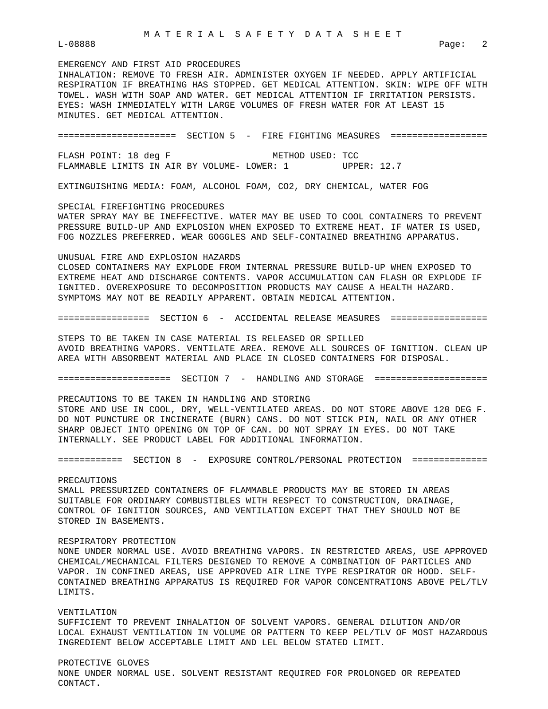# EMERGENCY AND FIRST AID PROCEDURES INHALATION: REMOVE TO FRESH AIR. ADMINISTER OXYGEN IF NEEDED. APPLY ARTIFICIAL RESPIRATION IF BREATHING HAS STOPPED. GET MEDICAL ATTENTION. SKIN: WIPE OFF WITH TOWEL. WASH WITH SOAP AND WATER. GET MEDICAL ATTENTION IF IRRITATION PERSISTS. EYES: WASH IMMEDIATELY WITH LARGE VOLUMES OF FRESH WATER FOR AT LEAST 15 MINUTES. GET MEDICAL ATTENTION.

====================== SECTION 5 - FIRE FIGHTING MEASURES ================== FLASH POINT: 18 deg F METHOD USED: TCC FLAMMABLE LIMITS IN AIR BY VOLUME- LOWER: 1 UPPER: 12.7

EXTINGUISHING MEDIA: FOAM, ALCOHOL FOAM, CO2, DRY CHEMICAL, WATER FOG

SPECIAL FIREFIGHTING PROCEDURES WATER SPRAY MAY BE INEFFECTIVE. WATER MAY BE USED TO COOL CONTAINERS TO PREVENT PRESSURE BUILD-UP AND EXPLOSION WHEN EXPOSED TO EXTREME HEAT. IF WATER IS USED, FOG NOZZLES PREFERRED. WEAR GOGGLES AND SELF-CONTAINED BREATHING APPARATUS.

#### UNUSUAL FIRE AND EXPLOSION HAZARDS

CLOSED CONTAINERS MAY EXPLODE FROM INTERNAL PRESSURE BUILD-UP WHEN EXPOSED TO EXTREME HEAT AND DISCHARGE CONTENTS. VAPOR ACCUMULATION CAN FLASH OR EXPLODE IF IGNITED. OVEREXPOSURE TO DECOMPOSITION PRODUCTS MAY CAUSE A HEALTH HAZARD. SYMPTOMS MAY NOT BE READILY APPARENT. OBTAIN MEDICAL ATTENTION.

================= SECTION 6 - ACCIDENTAL RELEASE MEASURES ==================

STEPS TO BE TAKEN IN CASE MATERIAL IS RELEASED OR SPILLED AVOID BREATHING VAPORS. VENTILATE AREA. REMOVE ALL SOURCES OF IGNITION. CLEAN UP AREA WITH ABSORBENT MATERIAL AND PLACE IN CLOSED CONTAINERS FOR DISPOSAL.

===================== SECTION 7 - HANDLING AND STORAGE =====================

PRECAUTIONS TO BE TAKEN IN HANDLING AND STORING STORE AND USE IN COOL, DRY, WELL-VENTILATED AREAS. DO NOT STORE ABOVE 120 DEG F. DO NOT PUNCTURE OR INCINERATE (BURN) CANS. DO NOT STICK PIN, NAIL OR ANY OTHER SHARP OBJECT INTO OPENING ON TOP OF CAN. DO NOT SPRAY IN EYES. DO NOT TAKE

INTERNALLY. SEE PRODUCT LABEL FOR ADDITIONAL INFORMATION.

============ SECTION 8 - EXPOSURE CONTROL/PERSONAL PROTECTION ==============

#### PRECAUTIONS

SMALL PRESSURIZED CONTAINERS OF FLAMMABLE PRODUCTS MAY BE STORED IN AREAS SUITABLE FOR ORDINARY COMBUSTIBLES WITH RESPECT TO CONSTRUCTION, DRAINAGE, CONTROL OF IGNITION SOURCES, AND VENTILATION EXCEPT THAT THEY SHOULD NOT BE STORED IN BASEMENTS.

### RESPIRATORY PROTECTION

NONE UNDER NORMAL USE. AVOID BREATHING VAPORS. IN RESTRICTED AREAS, USE APPROVED CHEMICAL/MECHANICAL FILTERS DESIGNED TO REMOVE A COMBINATION OF PARTICLES AND VAPOR. IN CONFINED AREAS, USE APPROVED AIR LINE TYPE RESPIRATOR OR HOOD. SELF-CONTAINED BREATHING APPARATUS IS REQUIRED FOR VAPOR CONCENTRATIONS ABOVE PEL/TLV LIMITS.

## VENTILATION

SUFFICIENT TO PREVENT INHALATION OF SOLVENT VAPORS. GENERAL DILUTION AND/OR LOCAL EXHAUST VENTILATION IN VOLUME OR PATTERN TO KEEP PEL/TLV OF MOST HAZARDOUS INGREDIENT BELOW ACCEPTABLE LIMIT AND LEL BELOW STATED LIMIT.

PROTECTIVE GLOVES

NONE UNDER NORMAL USE. SOLVENT RESISTANT REQUIRED FOR PROLONGED OR REPEATED CONTACT.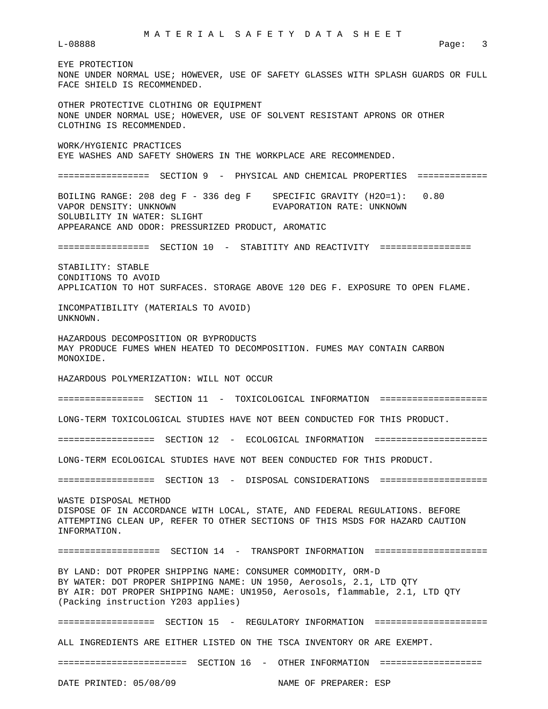EYE PROTECTION NONE UNDER NORMAL USE; HOWEVER, USE OF SAFETY GLASSES WITH SPLASH GUARDS OR FULL FACE SHIELD IS RECOMMENDED. OTHER PROTECTIVE CLOTHING OR EQUIPMENT NONE UNDER NORMAL USE; HOWEVER, USE OF SOLVENT RESISTANT APRONS OR OTHER CLOTHING IS RECOMMENDED. WORK/HYGIENIC PRACTICES EYE WASHES AND SAFETY SHOWERS IN THE WORKPLACE ARE RECOMMENDED. ================= SECTION 9 - PHYSICAL AND CHEMICAL PROPERTIES ============= BOILING RANGE: 208 deg F - 336 deg F SPECIFIC GRAVITY (H2O=1): 0.80 VAPOR DENSITY: UNKNOWN EVAPORATION RATE: UNKNOWN SOLUBILITY IN WATER: SLIGHT APPEARANCE AND ODOR: PRESSURIZED PRODUCT, AROMATIC ================= SECTION 10 - STABITITY AND REACTIVITY ================= STABILITY: STABLE CONDITIONS TO AVOID APPLICATION TO HOT SURFACES. STORAGE ABOVE 120 DEG F. EXPOSURE TO OPEN FLAME. INCOMPATIBILITY (MATERIALS TO AVOID) UNKNOWN. HAZARDOUS DECOMPOSITION OR BYPRODUCTS MAY PRODUCE FUMES WHEN HEATED TO DECOMPOSITION. FUMES MAY CONTAIN CARBON MONOXIDE. HAZARDOUS POLYMERIZATION: WILL NOT OCCUR ================ SECTION 11 - TOXICOLOGICAL INFORMATION ==================== LONG-TERM TOXICOLOGICAL STUDIES HAVE NOT BEEN CONDUCTED FOR THIS PRODUCT. ================== SECTION 12 - ECOLOGICAL INFORMATION ===================== LONG-TERM ECOLOGICAL STUDIES HAVE NOT BEEN CONDUCTED FOR THIS PRODUCT. ================== SECTION 13 - DISPOSAL CONSIDERATIONS ==================== WASTE DISPOSAL METHOD DISPOSE OF IN ACCORDANCE WITH LOCAL, STATE, AND FEDERAL REGULATIONS. BEFORE ATTEMPTING CLEAN UP, REFER TO OTHER SECTIONS OF THIS MSDS FOR HAZARD CAUTION INFORMATION. =================== SECTION 14 - TRANSPORT INFORMATION ===================== BY LAND: DOT PROPER SHIPPING NAME: CONSUMER COMMODITY, ORM-D BY WATER: DOT PROPER SHIPPING NAME: UN 1950, Aerosols, 2.1, LTD QTY BY AIR: DOT PROPER SHIPPING NAME: UN1950, Aerosols, flammable, 2.1, LTD QTY (Packing instruction Y203 applies) ================== SECTION 15 - REGULATORY INFORMATION ===================== ALL INGREDIENTS ARE EITHER LISTED ON THE TSCA INVENTORY OR ARE EXEMPT. ======================== SECTION 16 - OTHER INFORMATION ===================

DATE PRINTED: 05/08/09 NAME OF PREPARER: ESP